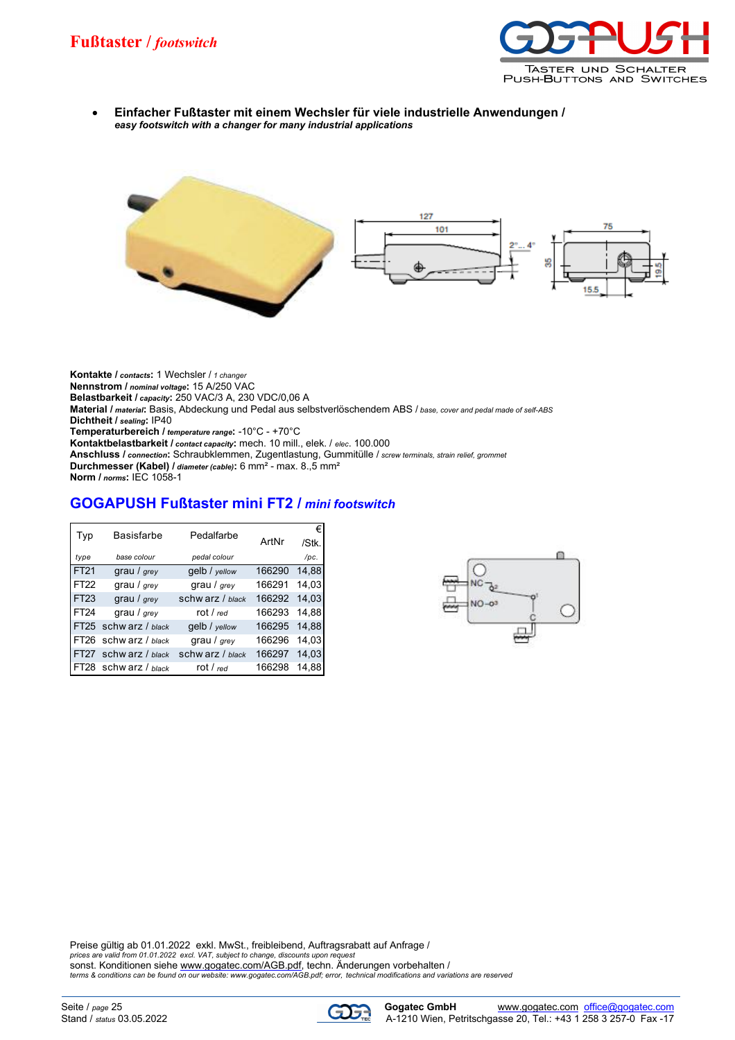

 **Einfacher Fußtaster mit einem Wechsler für viele industrielle Anwendungen /** *easy footswitch with a changer for many industrial applications*



**Kontakte /** *contacts***:** 1 Wechsler / *1 changer* **Nennstrom /** *nominal voltage***:** 15 A/250 VAC **Belastbarkeit /** *capacity***:** 250 VAC/3 A, 230 VDC/0,06 A **Material /** *material***:** Basis, Abdeckung und Pedal aus selbstverlöschendem ABS / *base, cover and pedal made of self-ABS* **Dichtheit /** *sealing***:** IP40 **Temperaturbereich /** *temperature range***:** -10°C - +70°C **Kontaktbelastbarkeit /** *contact capacity***:** mech. 10 mill., elek. / *elec*. 100.000 **Anschluss /** *connection***:** Schraubklemmen, Zugentlastung, Gummitülle / *screw terminals, strain relief, grommet* **Durchmesser (Kabel) /** *diameter (cable)***:** 6 mm² - max. 8.,5 mm² **Norm /** *norms***:** IEC 1058-1

## **GOGAPUSH Fußtaster mini FT2 /** *mini footswitch*

| Typ         | <b>Basisfarbe</b>     | Pedalfarbe       |        | €     |
|-------------|-----------------------|------------------|--------|-------|
|             |                       |                  | ArtNr  | /Stk. |
| type        | base colour           | pedal colour     |        | /pc.  |
| FT21        | grau / $_{grey}$      | gelb / yellow    | 166290 | 14,88 |
| FT22        | grau / grey           | grau / $_{grey}$ | 166291 | 14,03 |
| <b>FT23</b> | grau / $_{grey}$      | schw arz / black | 166292 | 14.03 |
| FT24        | grau / grey           | rot / red        | 166293 | 14,88 |
|             | FT25 schw arz / black | gelb / yellow    | 166295 | 14,88 |
|             | FT26 schw arz / black | grau / $grey$    | 166296 | 14,03 |
|             | FT27 schw arz / black | schw arz / black | 166297 | 14,03 |
| FT28        | schw arz / black      | rot / $_{red}$   | 166298 | 14.88 |



Preise gültig ab 01.01.2022 exkl. MwSt., freibleibend, Auftragsrabatt auf Anfrage / *prices are valid from 01.01.2022 excl. VAT, subject to change, discounts upon request* sonst. Konditionen siehe [www.gogatec.com/AGB.pdf,](www.gogatec.com/AGB.pdf) techn. Änderungen vorbehalten /

*terms & conditions can be found on <our website: www.gogatec.com/AGB.pdf; error,> technical modifications and variations are reserved*

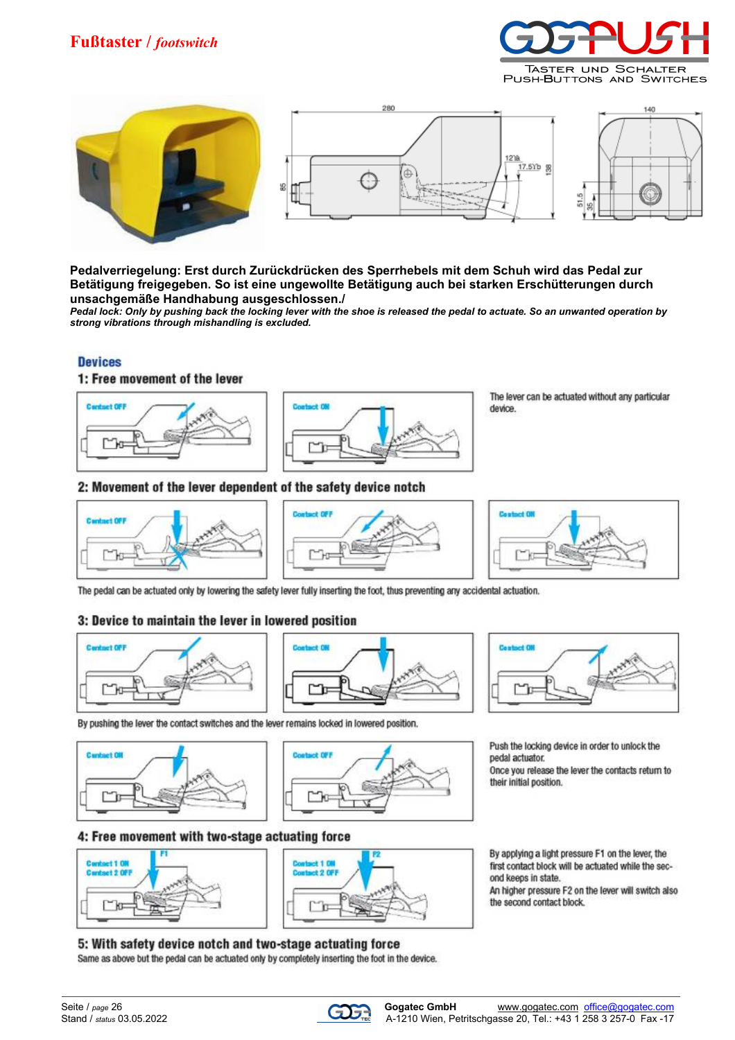# **Fußtaster /** *footswitch*





**Pedalverriegelung: Erst durch Zurückdrücken des Sperrhebels mit dem Schuh wird das Pedal zur Betätigung freigegeben. So ist eine ungewollte Betätigung auch bei starken Erschütterungen durch unsachgemäße Handhabung ausgeschlossen./**

*Pedal lock: Only by pushing back the locking lever with the shoe is released the pedal to actuate. So an unwanted operation by strong vibrations through mishandling is excluded.*

### **Devices**

### 1: Free movement of the lever





The lever can be actuated without any particular device.

#### 2: Movement of the lever dependent of the safety device notch







The pedal can be actuated only by lowering the safety lever fully inserting the foot, thus preventing any accidental actuation.

### 3: Device to maintain the lever in lowered position



By pushing the lever the contact switches and the lever remains locked in lowered position.





# 4: Free movement with two-stage actuating force





By applying a light pressure F1 on the lever, the first contact block will be actuated while the second keeps in state.

Push the locking device in order to unlock the

Once you release the lever the contacts return to

An higher pressure F2 on the lever will switch also the second contact block.

#### 5: With safety device notch and two-stage actuating force

Same as above but the pedal can be actuated only by completely inserting the foot in the device.



and and Pill

pedal actuator.

their initial position.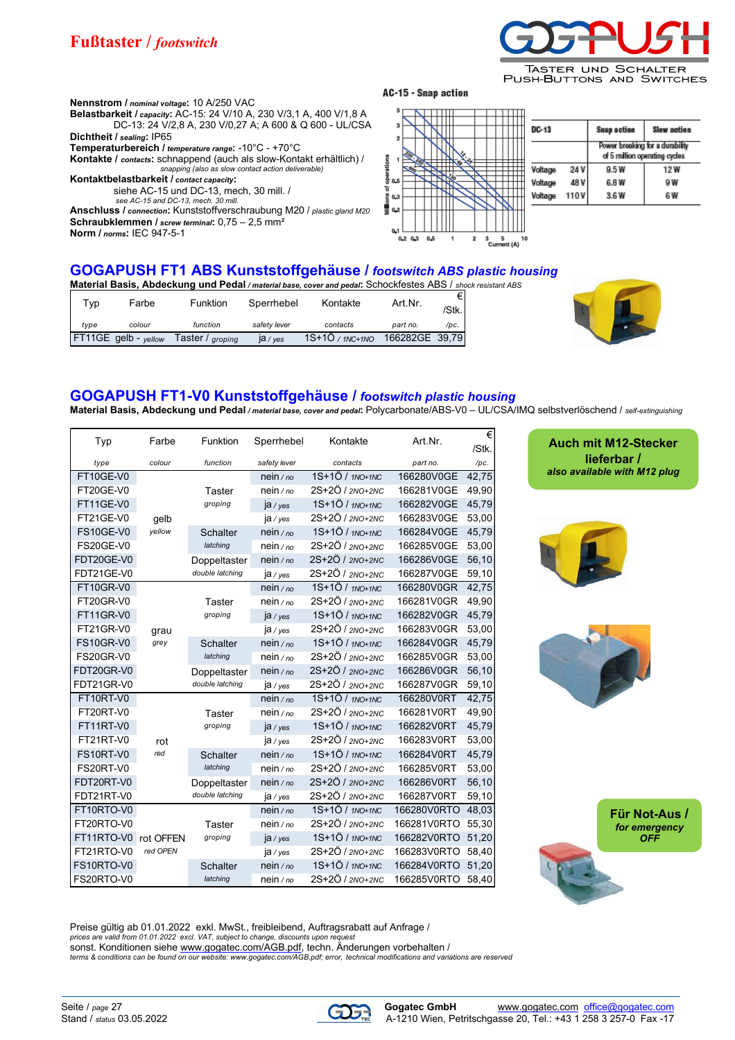

PUSH-BUTTONS AND SWITCHES

**Nennstrom /** *nominal voltage***:** 10 A/250 VAC **Belastbarkeit /** *capacity***:** AC-15: 24 V/10 A, 230 V/3,1 A, 400 V/1,8 A DC-13: 24 V/2,8 A, 230 V/0,27 A; A 600 & Q 600 - UL/CSA **Dichtheit /** *sealing***:** IP65 **Temperaturbereich /** *temperature range***:** -10°C - +70°C **Kontakte /** *contacts***:** schnappend (auch als slow-Kontakt erhältlich) / *snapping (also as slow contact action deliverable)* **Kontaktbelastbarkeit /** *contact capacity***:**

siehe AC-15 und DC-13, mech, 30 mill. /

*see AC-15 and DC-13, mech. 30 mill.* **Anschluss /** *connection***:** Kunststoffverschraubung M20 / *plastic gland M20* **Schraubklemmen /** *screw terminal***:** 0,75 – 2,5 mm² **Norm /** *norms***:** IEC 947-5-1

#### AC-15 - Snap action



| DC-13   |         | <b>Snap action</b>                                               | <b>Slow action</b> |  |  |
|---------|---------|------------------------------------------------------------------|--------------------|--|--|
|         |         | Power breaking for a durability<br>of 5 million operating cycles |                    |  |  |
| Voltage | 24 V I  | 9.5 W                                                            | 12 W               |  |  |
| Voltage | 48 V I  | 6.8 W                                                            | 9 W                |  |  |
| Voltage | 110 V I | 3.6W                                                             | 6 W                |  |  |

#### **GOGAPUSH FT1 ABS Kunststoffgehäuse /** *footswitch ABS plastic housing* **Material Basis, Abdeckung und Pedal** */ material base, cover and pedal***:** Schockfestes ABS / *shock resistant ABS*

|      |                      |                  |                    | <b>Material Dasis, Abuschung und I suu</b> l/material base, cover and pedal. Och locklostos ADO / sh |                |       |
|------|----------------------|------------------|--------------------|------------------------------------------------------------------------------------------------------|----------------|-------|
| Typ  | Farbe                | <b>Funktion</b>  | Sperrhebel         | Kontakte                                                                                             | Art.Nr.        |       |
|      |                      |                  |                    |                                                                                                      |                | /Stk. |
| tvpe | colour               | function         | safety lever       | contacts                                                                                             | part no.       | /pc.  |
|      | FT11GE gelb - yellow | Taster / groping | $ a / \text{yes} $ | $1S+1O$ / $1NC+1NO$                                                                                  | 166282GE 39.79 |       |



## **GOGAPUSH FT1-V0 Kunststoffgehäuse /** *footswitch plastic housing*

**Material Basis, Abdeckung und Pedal** */ material base, cover and pedal***:** Polycarbonate/ABS-V0 – UL/CSA/IMQ selbstverlöschend / *self-extinguishing*

| Typ              | Farbe     | Funktion        | Sperrhebel    | Kontakte          | Art Nr.     | €<br>/Stk. |
|------------------|-----------|-----------------|---------------|-------------------|-------------|------------|
| type             | colour    | function        | safety lever  | contacts          | part no.    | /pc.       |
| FT10GE-V0        |           |                 | nein / $no$   | 1S+1Ö / 1NO+1NC   | 166280V0GE  | 42,75      |
| FT20GE-V0        |           | <b>Taster</b>   | $nein$ / $no$ | 2S+2Ö / 2NO+2NC   | 166281V0GE  | 49,90      |
| FT11GE-V0        |           | groping         | $ja$ /yes     | 1S+1Ö / 1NO+1NC   | 166282V0GE  | 45,79      |
| FT21GE-V0        | gelb      |                 | ja / yes      | 2S+2Ö / 2NO+2NC   | 166283V0GE  | 53,00      |
| <b>FS10GE-V0</b> | yellow    | <b>Schalter</b> | $nein$ / $no$ | 1S+1Ö / 1NO+1NC   | 166284V0GE  | 45,79      |
| <b>FS20GE-V0</b> |           | latching        | $nein$ / no   | 2S+2Ö / 2NO+2NC   | 166285V0GE  | 53,00      |
| FDT20GE-V0       |           | Doppeltaster    | $nein$ / $no$ | 2S+2Ö / 2NO+2NC   | 166286V0GE  | 56,10      |
| FDT21GE-V0       |           | double latching | $ja$ /yes     | 2S+2Ö / 2NO+2NC   | 166287V0GE  | 59,10      |
| FT10GR-V0        |           |                 | nein/no       | 1S+1Ö / 1NO+1NC   | 166280V0GR  | 42,75      |
| FT20GR-V0        |           | <b>Taster</b>   | $nein$ / $no$ | 2S+2Ö / 2NO+2NC   | 166281V0GR  | 49,90      |
| FT11GR-V0        |           | groping         | $ja$ /yes     | 1S+1Ö / 1NO+1NC   | 166282V0GR  | 45,79      |
| <b>FT21GR-V0</b> | grau      |                 | $ja$ /yes     | 2S+2Ö / 2NO+2NC   | 166283V0GR  | 53,00      |
| <b>FS10GR-V0</b> | grey      | <b>Schalter</b> | $nein$ / $no$ | 1S+1Ö / 1NO+1NC   | 166284V0GR  | 45,79      |
| <b>FS20GR-V0</b> |           | latching        | $nein$ / $no$ | 2S+2Ö / 2NO+2NC   | 166285V0GR  | 53,00      |
| FDT20GR-V0       |           | Doppeltaster    | $nein$ / $no$ | 2S+2Ö / 2NO+2NC   | 166286V0GR  | 56,10      |
| FDT21GR-V0       |           | double latching | $ja$ /yes     | 2S+2Ö / 2NO+2NC   | 166287V0GR  | 59,10      |
| FT10RT-V0        |           |                 | $nein$ / $no$ | $1S+1Ö / 1NO+1NC$ | 166280V0RT  | 42,75      |
| FT20RT-V0        |           | <b>Taster</b>   | $nein$ / $no$ | 2S+2Ö / 2NO+2NC   | 166281V0RT  | 49,90      |
| FT11RT-V0        |           | groping         | $ja$ /yes     | 1S+1Ö / 1NO+1NC   | 166282V0RT  | 45,79      |
| FT21RT-V0        | rot       |                 | ja / yes      | 2S+2Ö / 2NO+2NC   | 166283V0RT  | 53,00      |
| FS10RT-V0        | red       | <b>Schalter</b> | $nein$ / $no$ | 1S+1Ö / 1NO+1NC   | 166284V0RT  | 45,79      |
| FS20RT-V0        |           | latching        | $nein$ / $no$ | 2S+2Ö / 2NO+2NC   | 166285V0RT  | 53,00      |
| FDT20RT-V0       |           | Doppeltaster    | $nein$ / $no$ | 2S+2Ö / 2NO+2NC   | 166286V0RT  | 56,10      |
| FDT21RT-V0       |           | double latching | $ja$ /yes     | 2S+2Ö / 2NO+2NC   | 166287V0RT  | 59,10      |
| FT10RTO-V0       |           |                 | $nein$ / $no$ | 1S+1Ö / 1NO+1NC   | 166280V0RTO | 48,03      |
| FT20RTO-V0       |           | <b>Taster</b>   | $nein$ / $no$ | 2S+2Ö / 2NO+2NC   | 166281V0RTO | 55,30      |
| FT11RTO-V0       | rot OFFEN | groping         | $ja$ /yes     | 1S+1Ö / 1NO+1NC   | 166282V0RTO | 51,20      |
| FT21RTO-V0       | red OPEN  |                 | ja / yes      | 2S+2Ö / 2NO+2NC   | 166283V0RTO | 58,40      |
| FS10RTO-V0       |           | <b>Schalter</b> | $nein$ / $no$ | 1S+1Ö / 1NO+1NC   | 166284V0RTO | 51,20      |
| FS20RTO-V0       |           | latching        | nein/no       | 2S+2Ö / 2NO+2NC   | 166285V0RTO | 58,40      |

**Auch mit M12-Stecker lieferbar /**  *also available with M12 plug*





**Für Not-Aus /**  *for emergency OFF*

Preise gültig ab 01.01.2022 exkl. MwSt., freibleibend, Auftragsrabatt auf Anfrage /<br>prices are valid from 01.01.2022 excl. VAT, subject to change, discounts upon request<br>sonst. Konditionen siehe <u>www.gogatec.com/AGB.pdf</u>

*terms & conditions can be found on our website:<www.gogatec.com/AGB.pdf; error,> technical modifications and variations are reserved*